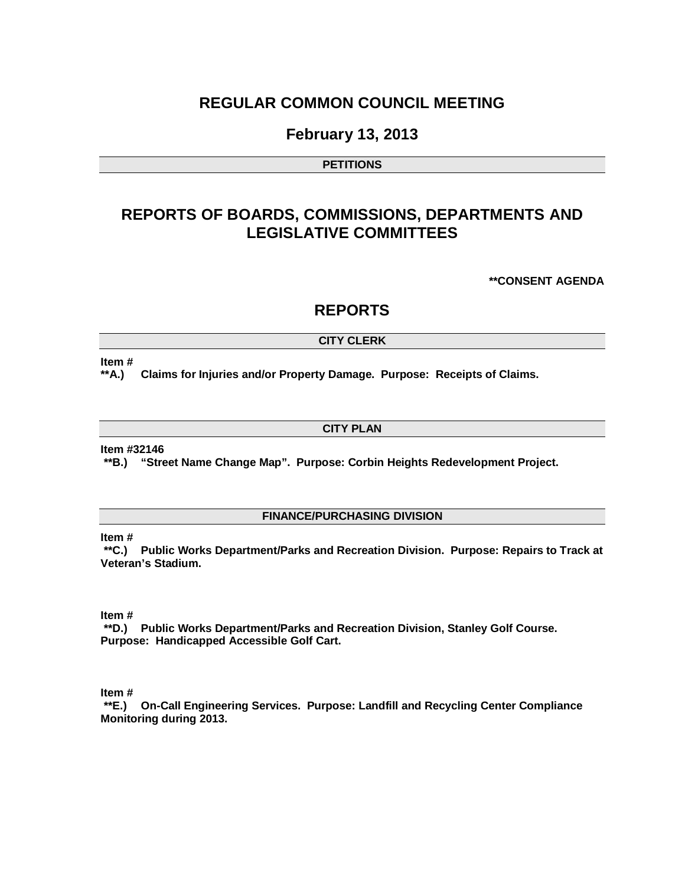## **REGULAR COMMON COUNCIL MEETING**

## **February 13, 2013**

#### **PETITIONS**

# **REPORTS OF BOARDS, COMMISSIONS, DEPARTMENTS AND LEGISLATIVE COMMITTEES**

**\*\*CONSENT AGENDA**

### **REPORTS**

#### **CITY CLERK**

#### **Item #**

**\*\*A.) Claims for Injuries and/or Property Damage. Purpose: Receipts of Claims.** 

#### **CITY PLAN**

#### **Item #32146**

**\*\*B.) "Street Name Change Map". Purpose: Corbin Heights Redevelopment Project.**

#### **FINANCE/PURCHASING DIVISION**

#### **Item #**

**\*\*C.) Public Works Department/Parks and Recreation Division. Purpose: Repairs to Track at Veteran's Stadium.**

#### **Item #**

**\*\*D.) Public Works Department/Parks and Recreation Division, Stanley Golf Course. Purpose: Handicapped Accessible Golf Cart.** 

**Item #**

**\*\*E.) On-Call Engineering Services. Purpose: Landfill and Recycling Center Compliance Monitoring during 2013.**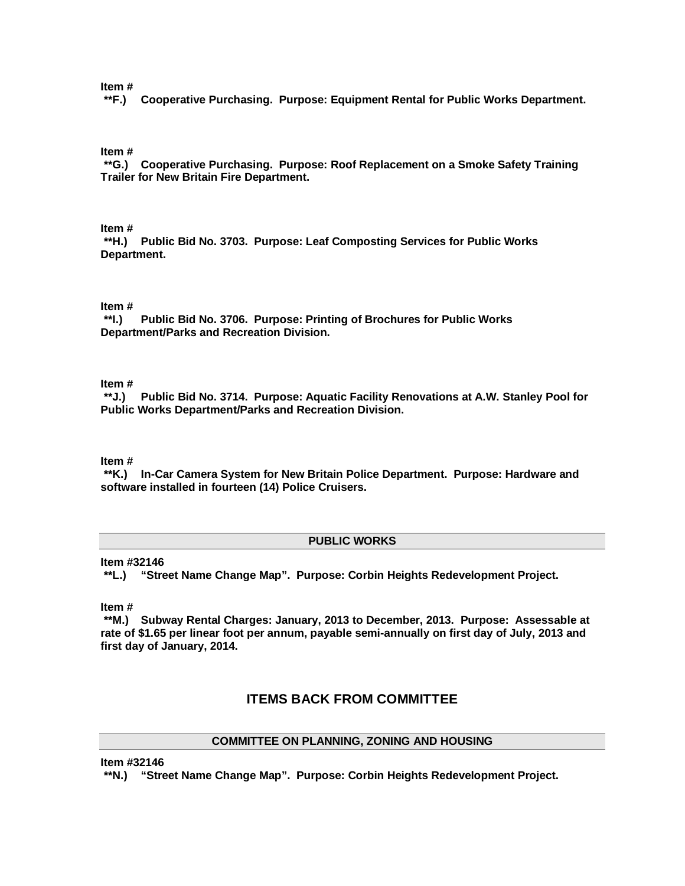#### **Item #**

**\*\*F.) Cooperative Purchasing. Purpose: Equipment Rental for Public Works Department.**

#### **Item #**

**\*\*G.) Cooperative Purchasing. Purpose: Roof Replacement on a Smoke Safety Training Trailer for New Britain Fire Department.**

**Item #**

**\*\*H.) Public Bid No. 3703. Purpose: Leaf Composting Services for Public Works Department.**

#### **Item #**

**\*\*I.) Public Bid No. 3706. Purpose: Printing of Brochures for Public Works Department/Parks and Recreation Division.**

#### **Item #**

**\*\*J.) Public Bid No. 3714. Purpose: Aquatic Facility Renovations at A.W. Stanley Pool for Public Works Department/Parks and Recreation Division.**

**Item #**

**\*\*K.) In-Car Camera System for New Britain Police Department. Purpose: Hardware and software installed in fourteen (14) Police Cruisers.**

#### **PUBLIC WORKS**

**Item #32146**

**\*\*L.) "Street Name Change Map". Purpose: Corbin Heights Redevelopment Project.**

**Item #**

**\*\*M.) Subway Rental Charges: January, 2013 to December, 2013. Purpose: Assessable at rate of \$1.65 per linear foot per annum, payable semi-annually on first day of July, 2013 and first day of January, 2014.**

#### **ITEMS BACK FROM COMMITTEE**

#### **COMMITTEE ON PLANNING, ZONING AND HOUSING**

**Item #32146**

**\*\*N.) "Street Name Change Map". Purpose: Corbin Heights Redevelopment Project.**